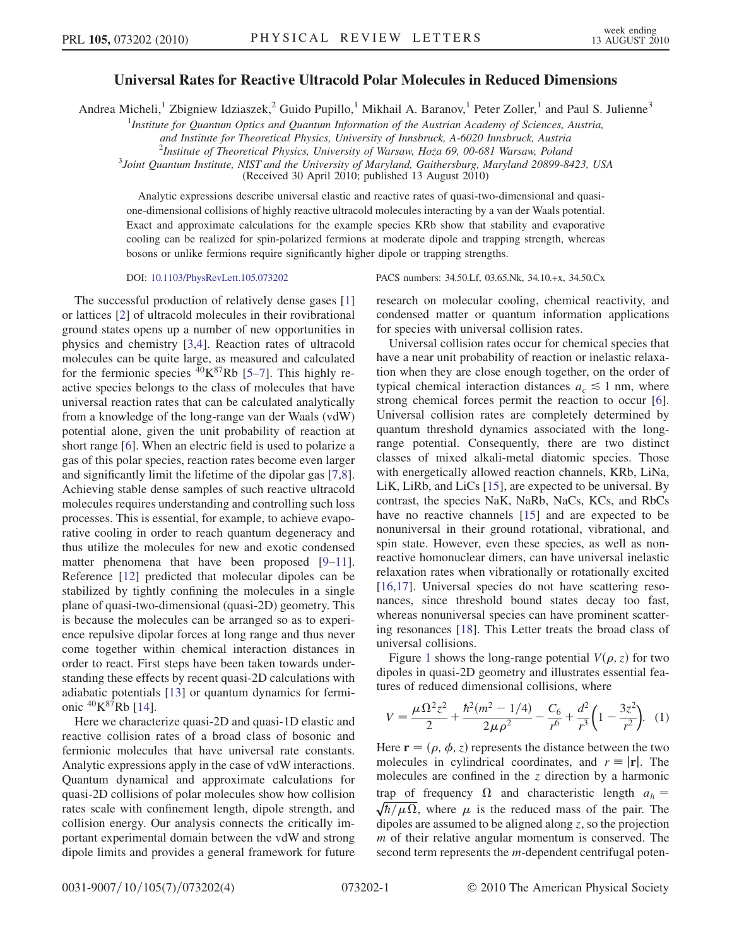## Universal Rates for Reactive Ultracold Polar Molecules in Reduced Dimensions

Andrea Micheli,<sup>1</sup> Zbigniew Idziaszek,<sup>2</sup> Guido Pupillo,<sup>1</sup> Mikhail A. Baranov,<sup>1</sup> Peter Zoller,<sup>1</sup> and Paul S. Julienne<sup>3</sup>

<sup>1</sup>Institute for Quantum Optics and Quantum Information of the Austrian Academy of Sciences, Austria,

and Institute for Theoretical Physics, University of Innsbruck, A-6020 Innsbruck, Austria

<sup>2</sup>Institute of Theoretical Physics, University of Warsaw, Hoza 69, 00-681 Warsaw, Poland<sup>3</sup> Joint Quantum Institute, NIST and the University of Maryland Gaithersburg, Maryland 20800 8

<sup>3</sup>Joint Quantum Institute, NIST and the University of Maryland, Gaithersburg, Maryland 20899-8423, USA

(Received 30 April 2010; published 13 August 2010)

Analytic expressions describe universal elastic and reactive rates of quasi-two-dimensional and quasione-dimensional collisions of highly reactive ultracold molecules interacting by a van der Waals potential. Exact and approximate calculations for the example species KRb show that stability and evaporative cooling can be realized for spin-polarized fermions at moderate dipole and trapping strength, whereas bosons or unlike fermions require significantly higher dipole or trapping strengths.

The successful production of relatively dense gases [\[1\]](#page-3-0) or lattices [\[2](#page-3-1)] of ultracold molecules in their rovibrational ground states opens up a number of new opportunities in physics and chemistry [[3,](#page-3-2)[4\]](#page-3-3). Reaction rates of ultracold molecules can be quite large, as measured and calculated for the fermionic species  ${}^{40}$ K ${}^{87}$  ${}^{87}$  ${}^{87}$ Rb [\[5–](#page-3-4)7]. This highly reactive species belongs to the class of molecules that have universal reaction rates that can be calculated analytically from a knowledge of the long-range van der Waals (vdW) potential alone, given the unit probability of reaction at short range [[6](#page-3-6)]. When an electric field is used to polarize a gas of this polar species, reaction rates become even larger and significantly limit the lifetime of the dipolar gas [[7](#page-3-5),[8\]](#page-3-7). Achieving stable dense samples of such reactive ultracold molecules requires understanding and controlling such loss processes. This is essential, for example, to achieve evaporative cooling in order to reach quantum degeneracy and thus utilize the molecules for new and exotic condensed matter phenomena that have been proposed [\[9](#page-3-8)[–11\]](#page-3-9). Reference [[12](#page-3-10)] predicted that molecular dipoles can be stabilized by tightly confining the molecules in a single plane of quasi-two-dimensional (quasi-2D) geometry. This is because the molecules can be arranged so as to experience repulsive dipolar forces at long range and thus never come together within chemical interaction distances in order to react. First steps have been taken towards understanding these effects by recent quasi-2D calculations with adiabatic potentials [\[13\]](#page-3-11) or quantum dynamics for fermionic  ${}^{40}$ K ${}^{87}$ Rb [[14](#page-3-12)].

Here we characterize quasi-2D and quasi-1D elastic and reactive collision rates of a broad class of bosonic and fermionic molecules that have universal rate constants. Analytic expressions apply in the case of vdW interactions. Quantum dynamical and approximate calculations for quasi-2D collisions of polar molecules show how collision rates scale with confinement length, dipole strength, and collision energy. Our analysis connects the critically important experimental domain between the vdW and strong dipole limits and provides a general framework for future

DOI: [10.1103/PhysRevLett.105.073202](http://dx.doi.org/10.1103/PhysRevLett.105.073202) PACS numbers: 34.50.Lf, 03.65.Nk, 34.10.+x, 34.50.Cx

research on molecular cooling, chemical reactivity, and condensed matter or quantum information applications for species with universal collision rates.

Universal collision rates occur for chemical species that have a near unit probability of reaction or inelastic relaxation when they are close enough together, on the order of typical chemical interaction distances  $a_c \leq 1$  nm, where strong chemical forces permit the reaction to occur [[6\]](#page-3-6). Universal collision rates are completely determined by quantum threshold dynamics associated with the longrange potential. Consequently, there are two distinct classes of mixed alkali-metal diatomic species. Those with energetically allowed reaction channels, KRb, LiNa, LiK, LiRb, and LiCs [[15\]](#page-3-13), are expected to be universal. By contrast, the species NaK, NaRb, NaCs, KCs, and RbCs have no reactive channels [\[15](#page-3-13)] and are expected to be nonuniversal in their ground rotational, vibrational, and spin state. However, even these species, as well as nonreactive homonuclear dimers, can have universal inelastic relaxation rates when vibrationally or rotationally excited [\[16](#page-3-14)[,17\]](#page-3-15). Universal species do not have scattering resonances, since threshold bound states decay too fast, whereas nonuniversal species can have prominent scattering resonances [\[18\]](#page-3-16). This Letter treats the broad class of universal collisions.

Figure [1](#page-1-0) shows the long-range potential  $V(\rho, z)$  for two dipoles in quasi-2D geometry and illustrates essential features of reduced dimensional collisions, where

$$
V = \frac{\mu \Omega^2 z^2}{2} + \frac{\hbar^2 (m^2 - 1/4)}{2\mu \rho^2} - \frac{C_6}{r^6} + \frac{d^2}{r^3} \left( 1 - \frac{3z^2}{r^2} \right). \tag{1}
$$

Here  $\mathbf{r} = (\rho, \phi, z)$  represents the distance between the two molecules in cylindrical coordinates, and  $r \equiv |\mathbf{r}|$ . The molecules are confined in the  $z$  direction by a harmonic trap of frequency  $\Omega$  and characteristic length  $a_h = \sqrt{\hbar/\mu\Omega}$ , where  $\mu$  is the reduced mass of the pair. The dipoles are assumed to be aligned along z, so the projection m of their relative angular momentum is conserved. The second term represents the *m*-dependent centrifugal poten-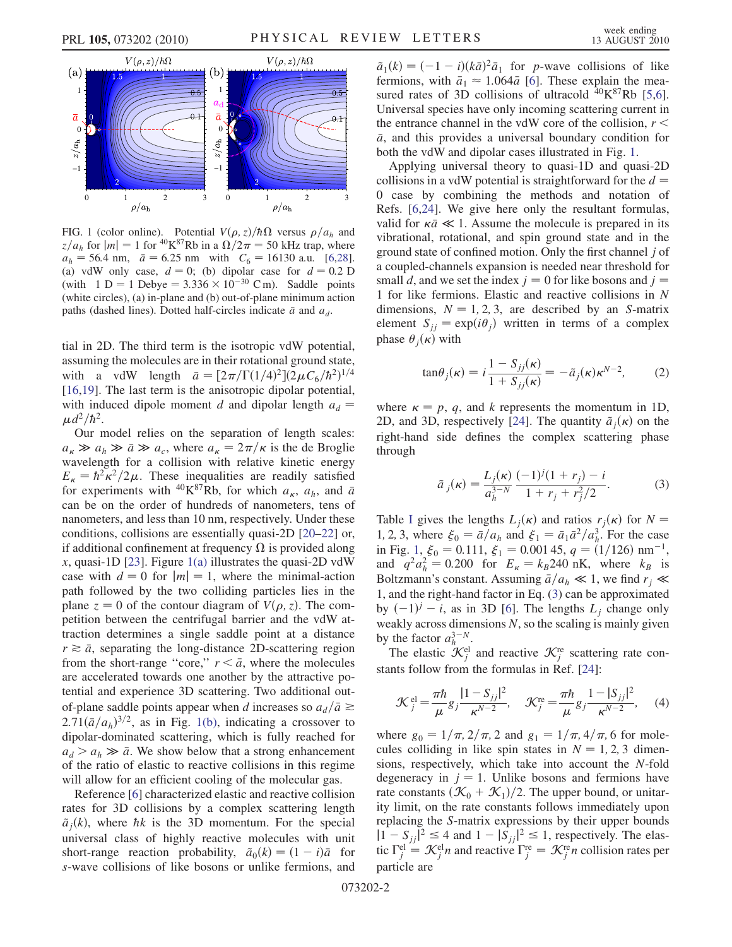<span id="page-1-0"></span>

<span id="page-1-1"></span>FIG. 1 (color online). Potential  $V(\rho, z)/\hbar\Omega$  versus  $\rho/a_h$  and  $z/a_h$  for  $|m| = 1$  for <sup>40</sup>K<sup>87</sup>Rb in a  $\Omega/2\pi = 50$  kHz trap, where  $a_h = 56.4$  nm,  $\bar{a} = 6.25$  nm with  $C_6 = 16130$  a.u. [[6,](#page-3-6)[28\]](#page-3-22). (a) vdW only case,  $d = 0$ ; (b) dipolar case for  $d = 0.2$  D (with  $1 D = 1 Debye = 3.336 \times 10^{-30}$  C m). Saddle points (white circles), (a) in-plane and (b) out-of-plane minimum action paths (dashed lines). Dotted half-circles indicate  $\bar{a}$  and  $a_d$ .

tial in 2D. The third term is the isotropic vdW potential, assuming the molecules are in their rotational ground state, with a vdW length  $\bar{a} = [2\pi/\Gamma(1/4)^2](2\mu C_6/\hbar^2)^{1/4}$ [\[16](#page-3-14)[,19\]](#page-3-17). The last term is the anisotropic dipolar potential, with induced dipole moment d and dipolar length  $a_d$  =  $\mu d^2/\hbar^2$ .

Our model relies on the separation of length scales:  $a_{\kappa} \gg a_{h} \gg \bar{a} \gg a_{c}$ , where  $a_{\kappa} = 2\pi/\kappa$  is the de Broglie wavelength for a collision with relative kinetic energy  $E_{\kappa} = \hbar^2 \kappa^2 / 2\mu$ . These inequalities are readily satisfied for experiments with <sup>40</sup>K<sup>87</sup>Rb, for which  $a_{\kappa}$ ,  $a_{h}$ , and  $\bar{a}$ can be on the order of hundreds of nanometers, tens of nanometers, and less than 10 nm, respectively. Under these conditions, collisions are essentially quasi-2D [\[20–](#page-3-18)[22](#page-3-19)] or, if additional confinement at frequency  $\Omega$  is provided along x, quasi-1D [\[23\]](#page-3-20). Figure [1\(a\)](#page-1-1) illustrates the quasi-2D vdW case with  $d = 0$  for  $|m| = 1$ , where the minimal-action path followed by the two colliding particles lies in the plane  $z = 0$  of the contour diagram of  $V(\rho, z)$ . The competition between the centrifugal barrier and the vdW attraction determines a single saddle point at a distance  $r \geq \bar{a}$ , separating the long-distance 2D-scattering region from the short-range "core,"  $r < \bar{a}$ , where the molecules are accelerated towards one another by the attractive potential and experience 3D scattering. Two additional outof-plane saddle points appear when d increases so  $a_d/\bar{a} \ge$  $2.71(\bar{a}/a_h)^{3/2}$ , as in Fig. [1\(b\),](#page-1-1) indicating a crossover to dipolar-dominated scattering, which is fully reached for  $a_d > a_h \gg \bar{a}$ . We show below that a strong enhancement of the ratio of elastic to reactive collisions in this regime will allow for an efficient cooling of the molecular gas.

Reference [[6\]](#page-3-6) characterized elastic and reactive collision rates for 3D collisions by a complex scattering length  $\tilde{a}_i(k)$ , where hk is the 3D momentum. For the special universal class of highly reactive molecules with unit short-range reaction probability,  $\tilde{a}_0(k) = (1 - i)\bar{a}$  for s-wave collisions of like bosons or unlike fermions, and

 $\tilde{a}_1(k) = (-1 - i)(k\bar{a})^2 \bar{a}_1$  for *p*-wave collisions of like fermions, with  $\bar{a}_1 \approx 1.064\bar{a}$  $\bar{a}_1 \approx 1.064\bar{a}$  $\bar{a}_1 \approx 1.064\bar{a}$  [6]. These explain the measured rates of 3D collisions of ultracold  $^{40}K^{87}Rb$  [[5](#page-3-4),[6\]](#page-3-6). Universal species have only incoming scattering current in the entrance channel in the vdW core of the collision,  $r <$  $\bar{a}$ , and this provides a universal boundary condition for both the vdW and dipolar cases illustrated in Fig. [1](#page-1-0).

Applying universal theory to quasi-1D and quasi-2D collisions in a vdW potential is straightforward for the  $d =$ 0 case by combining the methods and notation of Refs. [\[6](#page-3-6),[24](#page-3-21)]. We give here only the resultant formulas, valid for  $\kappa \bar{a} \ll 1$ . Assume the molecule is prepared in its vibrational, rotational, and spin ground state and in the ground state of confined motion. Only the first channel j of a coupled-channels expansion is needed near threshold for small d, and we set the index  $j = 0$  for like bosons and  $j =$ 1 for like fermions. Elastic and reactive collisions in N dimensions,  $N = 1, 2, 3$ , are described by an S-matrix element  $S_{jj} = \exp(i\theta_j)$  written in terms of a complex phase  $\theta_i(\kappa)$  with

$$
\tan \theta_j(\kappa) = i \frac{1 - S_{jj}(\kappa)}{1 + S_{jj}(\kappa)} = -\tilde{a}_j(\kappa) \kappa^{N-2},\qquad(2)
$$

<span id="page-1-2"></span>where  $\kappa = p$ , q, and k represents the momentum in 1D, 2D, and 3D, respectively [[24](#page-3-21)]. The quantity  $\tilde{a}_i(\kappa)$  on the right-hand side defines the complex scattering phase through

$$
\tilde{a}_j(\kappa) = \frac{L_j(\kappa)}{a_h^{3-N}} \frac{(-1)^j (1+r_j) - i}{1+r_j + r_j^2/2}.
$$
 (3)

Table [I](#page-2-0) gives the lengths  $L_i(\kappa)$  and ratios  $r_i(\kappa)$  for  $N =$ 1, 2, 3, where  $\xi_0 = \bar{a}/a_h$  and  $\xi_1 = \bar{a}_1 \bar{a}^2/a_h^3$ . For the case in Fig. [1](#page-1-0),  $\xi_0 = 0.111$ ,  $\xi_1 = 0.00145$ ,  $q = (1/126)$  nm<sup>-1</sup>, and  $q^2 a_h^2 = 0.200$  for  $E_{\kappa} = k_B 240$  nK, where  $k_B$  is Boltzmann's constant. Assuming  $\bar{a}/a_h \ll 1$ , we find  $r_j \ll$ 1, and the right-hand factor in Eq. ([3](#page-1-2)) can be approximated by  $(-1)^j - i$ , as in 3D [[6](#page-3-6)]. The lengths  $L_j$  change only weakly across dimensions  $N$ , so the scaling is mainly given by the factor  $a_h^{3-N}$ .

<span id="page-1-3"></span>The elastic  $\mathcal{K}_j^{\text{el}}$  and reactive  $\mathcal{K}_j^{\text{re}}$  scattering rate constants follow from the formulas in Ref. [\[24](#page-3-21)]:

$$
\mathcal{K}_{j}^{\text{el}} = \frac{\pi \hbar}{\mu} g_{j} \frac{|1 - S_{jj}|^{2}}{\kappa^{N-2}}, \quad \mathcal{K}_{j}^{\text{re}} = \frac{\pi \hbar}{\mu} g_{j} \frac{|1 - |S_{jj}|^{2}}{\kappa^{N-2}}, \quad (4)
$$

where  $g_0 = 1/\pi$ ,  $2/\pi$ , 2 and  $g_1 = 1/\pi$ ,  $4/\pi$ , 6 for molecules colliding in like spin states in  $N = 1, 2, 3$  dimensions, respectively, which take into account the N-fold degeneracy in  $j = 1$ . Unlike bosons and fermions have rate constants  $(\mathcal{K}_0 + \mathcal{K}_1)/2$ . The upper bound, or unitarity limit, on the rate constants follows immediately upon replacing the S-matrix expressions by their upper bounds  $|1 - S_{jj}|^2 \le 4$  and  $|1 - |S_{jj}|^2 \le 1$ , respectively. The elastic  $\Gamma_j^{\text{el}} = \mathcal{K}_j^{\text{el}} n$  and reactive  $\Gamma_j^{\text{re}} = \mathcal{K}_j^{\text{re}} n$  collision rates per particle are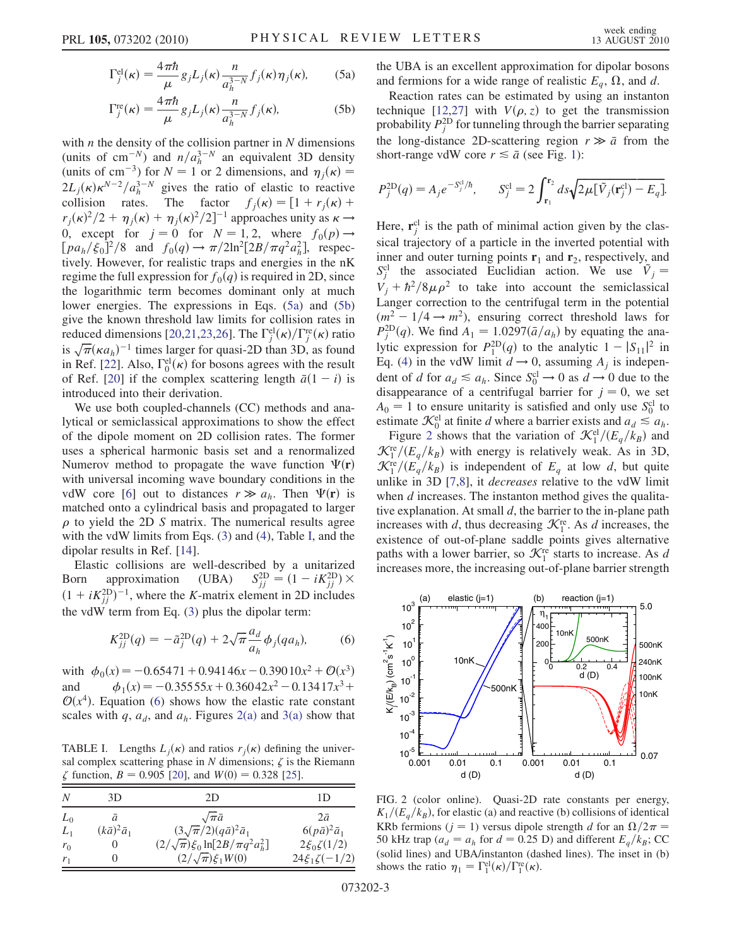<span id="page-2-1"></span>
$$
\Gamma_j^{\text{el}}(\kappa) = \frac{4\pi\hbar}{\mu} g_j L_j(\kappa) \frac{n}{a_h^{3-N}} f_j(\kappa) \eta_j(\kappa), \tag{5a}
$$

$$
\Gamma_j^{\text{re}}(\kappa) = \frac{4\pi\hbar}{\mu} g_j L_j(\kappa) \frac{n}{a_h^{3-N}} f_j(\kappa),\tag{5b}
$$

with  $n$  the density of the collision partner in  $N$  dimensions (units of cm<sup>-N</sup>) and  $n/a_h^{3-N}$  an equivalent 3D density (units of cm<sup>-3</sup>) for  $N = 1$  or 2 dimensions, and  $\eta_i(\kappa) =$  $2L_j(\kappa)\kappa^{N-2}/a_h^{3-N}$  gives the ratio of elastic to reactive collision rates. The factor  $f_j(\kappa) = [1 + r_j(\kappa) +$  $r_j(\kappa)^2/2 + \eta_j(\kappa) + \eta_j(\kappa)^2/2]^{-1}$  approaches unity as  $\kappa \to$ 0, except for  $j = 0$  for  $N = 1, 2$ , where  $f_0(p) \rightarrow$  $[pa_h/\xi_0]^2/8$  and  $f_0(q) \to \pi/2\ln^2[2B/\pi q^2 a_h^2]$ , respectively. However, for realistic traps and energies in the nK regime the full expression for  $f_0(q)$  is required in 2D, since the logarithmic term becomes dominant only at much lower energies. The expressions in Eqs. [\(5a](#page-2-1)) and [\(5b\)](#page-2-1) give the known threshold law limits for collision rates in reduced dimensions [\[20](#page-3-18)[,21,](#page-3-23)[23,](#page-3-20)[26](#page-3-24)]. The  $\Gamma_j^{\text{el}}(\kappa)/\Gamma_j^{\text{re}}(\kappa)$  ratio is  $\sqrt{\pi}(\kappa a_h)^{-1}$  times larger for quasi-2D than 3D, as found in Ref. [\[22\]](#page-3-19). Also,  $\Gamma_0^{\text{el}}(\kappa)$  for bosons agrees with the result of Ref. [\[20\]](#page-3-18) if the complex scattering length  $\bar{a}(1 - i)$  is introduced into their derivation.

We use both coupled-channels (CC) methods and analytical or semiclassical approximations to show the effect of the dipole moment on 2D collision rates. The former uses a spherical harmonic basis set and a renormalized Numerov method to propagate the wave function  $\Psi(\mathbf{r})$ with universal incoming wave boundary conditions in the vdW core [\[6](#page-3-6)] out to distances  $r \gg a_h$ . Then  $\Psi(\mathbf{r})$  is matched onto a cylindrical basis and propagated to larger  $\rho$  to yield the 2D S matrix. The numerical results agree with the vdW limits from Eqs. [\(3\)](#page-1-2) and ([4](#page-1-3)), Table [I](#page-2-0), and the dipolar results in Ref. [[14](#page-3-12)].

Elastic collisions are well-described by a unitarized Born approximation (UBA)  $S_{jj}^{\text{2D}} = (1 - iK_{jj}^{\text{2D}}) \times$  $(1 + iK_{jj}^{\text{2D}})^{-1}$ , where the K-matrix element in 2D includes the vdW term from Eq. [\(3\)](#page-1-2) plus the dipolar term:

<span id="page-2-2"></span>
$$
K_{jj}^{2D}(q) = -\tilde{a}_j^{2D}(q) + 2\sqrt{\pi} \frac{a_d}{a_h} \phi_j(q a_h),
$$
 (6)

with  $\phi_0(x) = -0.65471 + 0.94146x - 0.39010x^2 + \mathcal{O}(x^3)$ and  $\phi_1(x) = -0.35555x + 0.36042x^2 - 0.13417x^3 +$  $\mathcal{O}(x^4)$ . Equation [\(6](#page-2-2)) shows how the elastic rate constant scales with q,  $a_d$ , and  $a_h$ . Figures [2\(a\)](#page-2-3) and [3\(a\)](#page-3-25) show that

<span id="page-2-0"></span>TABLE I. Lengths  $L_i(\kappa)$  and ratios  $r_i(\kappa)$  defining the universal complex scattering phase in  $N$  dimensions;  $\zeta$  is the Riemann  $\zeta$  function,  $B = 0.905$  [\[20\]](#page-3-18), and  $W(0) = 0.328$  [\[25\]](#page-3-27).

| N              | 3D.                     | 2D                                                                                    | 1D                                              |
|----------------|-------------------------|---------------------------------------------------------------------------------------|-------------------------------------------------|
| $L_0$          | a                       | $\sqrt{\pi a}$                                                                        | $2\bar{a}$                                      |
| $L_1$<br>$r_0$ | $(k\bar{a})^2\bar{a}_1$ | $(3\sqrt{\pi}/2)(q\bar{a})^2\bar{a}_1$<br>$(2/\sqrt{\pi})\xi_0 \ln[2B/\pi q^2 a_h^2]$ | $6(p\bar{a})^2\bar{a}_1$<br>$2\xi_0 \zeta(1/2)$ |
| r <sub>1</sub> |                         | $(2/\sqrt{\pi})\xi_1W(0)$                                                             | $24\xi_1 \zeta(-1/2)$                           |

the UBA is an excellent approximation for dipolar bosons and fermions for a wide range of realistic  $E_a$ ,  $\Omega$ , and d.

Reaction rates can be estimated by using an instanton technique [[12](#page-3-10),[27](#page-3-26)] with  $V(\rho, z)$  to get the transmission probability  $P_j^{\text{2D}}$  for tunneling through the barrier separating the long-distance 2D-scattering region  $r \gg \bar{a}$  from the short-range vdW core  $r \leq \bar{a}$  (see Fig. [1\)](#page-1-0):

$$
P_j^{\text{2D}}(q) = A_j e^{-S_j^{\text{cl}}/\hbar}, \qquad S_j^{\text{cl}} = 2 \int_{\mathbf{r}_1}^{\mathbf{r}_2} ds \sqrt{2\mu [\tilde{V}_j(\mathbf{r}_j^{\text{cl}}) - E_q]}.
$$

Here,  $\mathbf{r}_j^{\text{cl}}$  is the path of minimal action given by the classical trajectory of a particle in the inverted potential with inner and outer turning points  $\mathbf{r}_1$  and  $\mathbf{r}_2$ , respectively, and  $S_j^{\text{cl}}$  the associated Euclidian action. We use  $\tilde{V}_j =$  $V_j + \hbar^2/8\mu \rho^2$  to take into account the semiclassical Langer correction to the centrifugal term in the potential  $(m^2 - 1/4 \rightarrow m^2)$ , ensuring correct threshold laws for  $P_j^{\text{2D}}(q)$ . We find  $A_1 = 1.0297(\bar{a}/a_h)$  by equating the analytic expression for  $P_1^{\text{2D}}(q)$  to the analytic  $1 - |S_{11}|^2$  in Eq. [\(4](#page-1-3)) in the vdW limit  $d \rightarrow 0$ , assuming  $A_i$  is independent of d for  $a_d \le a_h$ . Since  $S_0^{\text{cl}} \to 0$  as  $d \to 0$  due to the disappearance of a centrifugal barrier for  $j = 0$ , we set  $A_0 = 1$  to ensure unitarity is satisfied and only use  $S_0^{\text{cl}}$  to estimate  $\mathcal{K}_0^{\text{el}}$  at finite d where a barrier exists and  $a_d \leq a_h$ .

Figure [2](#page-2-4) shows that the variation of  $\mathcal{K}^{el}_{1}/(E_q/k_B)$  and  $\mathcal{K}_{1}^{\text{re}}/(E_{q}/k_{B})$  with energy is relatively weak. As in 3D,  $\mathcal{K}_{1}^{\text{re}}/(E_q/k_B)$  is independent of  $E_q$  at low d, but quite unlike in 3D [\[7,](#page-3-5)[8](#page-3-7)], it decreases relative to the vdW limit when  $d$  increases. The instanton method gives the qualitative explanation. At small  $d$ , the barrier to the in-plane path increases with d, thus decreasing  $\mathcal{K}_1^{\text{re}}$ . As d increases, the existence of out-of-plane saddle points gives alternative paths with a lower barrier, so  $\mathcal{K}_1^{\text{re}}$  starts to increase. As d increases more, the increasing out-of-plane barrier strength

<span id="page-2-4"></span>

<span id="page-2-3"></span>FIG. 2 (color online). Quasi-2D rate constants per energy,  $K_1/(E_q/k_B)$ , for elastic (a) and reactive (b) collisions of identical KRb fermions ( $j = 1$ ) versus dipole strength d for an  $\Omega/2\pi$  = 50 kHz trap ( $a_d = a_h$  for  $d = 0.25$  D) and different  $E_q/k_B$ ; CC (solid lines) and UBA/instanton (dashed lines). The inset in (b) shows the ratio  $\eta_1 = \Gamma_1^{\text{el}}(\kappa) / \Gamma_1^{\text{re}}(\kappa)$ .

073202-3